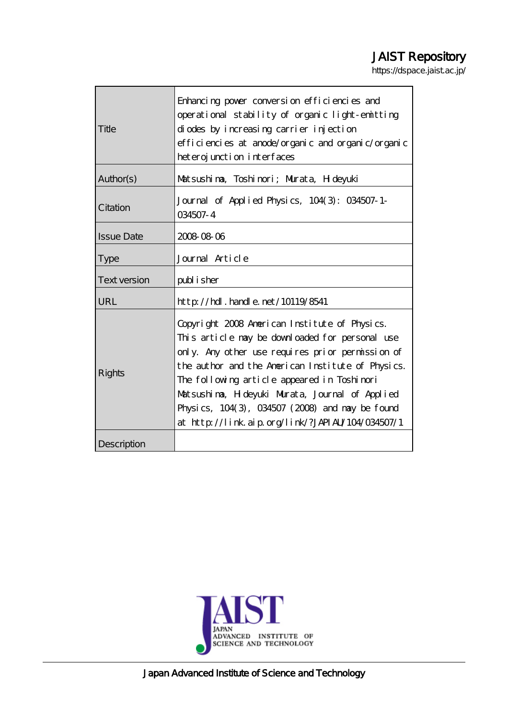# JAIST Repository

https://dspace.jaist.ac.jp/

|                     | Enhancing power conversion efficiencies and                                                                                                                                                                                                                                                                                                                                                                        |  |  |  |
|---------------------|--------------------------------------------------------------------------------------------------------------------------------------------------------------------------------------------------------------------------------------------------------------------------------------------------------------------------------------------------------------------------------------------------------------------|--|--|--|
|                     | operational stability of organic light-emitting                                                                                                                                                                                                                                                                                                                                                                    |  |  |  |
| Title               | diodes by increasing carrier injection                                                                                                                                                                                                                                                                                                                                                                             |  |  |  |
|                     | efficiencies at anode/organic and organic/organic                                                                                                                                                                                                                                                                                                                                                                  |  |  |  |
|                     | heteroj unction interfaces                                                                                                                                                                                                                                                                                                                                                                                         |  |  |  |
| Author(s)           | Matsushima, Toshimori; Murata, H deyuki                                                                                                                                                                                                                                                                                                                                                                            |  |  |  |
| Citation            | Journal of Applied Physics, 104(3): 034507-1-<br>034507-4                                                                                                                                                                                                                                                                                                                                                          |  |  |  |
| <b>Issue Date</b>   | 2008 08 06                                                                                                                                                                                                                                                                                                                                                                                                         |  |  |  |
| <b>Type</b>         | Journal Article                                                                                                                                                                                                                                                                                                                                                                                                    |  |  |  |
| <b>Text version</b> | publisher                                                                                                                                                                                                                                                                                                                                                                                                          |  |  |  |
| URL                 | http://hdl.handle.net/10119/8541                                                                                                                                                                                                                                                                                                                                                                                   |  |  |  |
| <b>Rights</b>       | Copyright 2008 American Institute of Physics.<br>This article may be downloaded for personal use<br>only. Any other use requires prior permission of<br>the author and the American Institute of Physics.<br>The following article appeared in Toshinori<br>Matsushima, H deyuki Murata, Journal of Applied<br>Physics, 104(3), 034507 (2008) and may be found<br>at http://link.aip.org/link/?JAPIAL/104/034507/1 |  |  |  |
| Description         |                                                                                                                                                                                                                                                                                                                                                                                                                    |  |  |  |

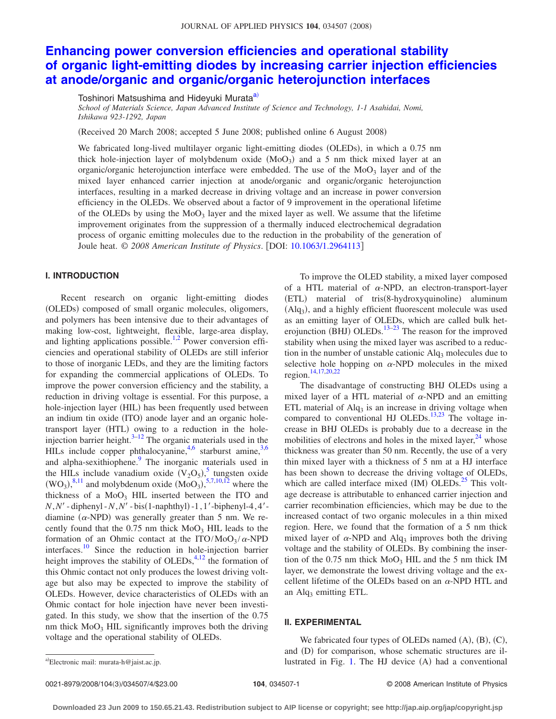# **[Enhancing power conversion efficiencies and operational stability](http://dx.doi.org/10.1063/1.2964113) [of organic light-emitting diodes by increasing carrier injection efficiencies](http://dx.doi.org/10.1063/1.2964113) [at anode/organic and organic/organic heterojunction interfaces](http://dx.doi.org/10.1063/1.2964113)**

Toshinori Matsushima and Hideyuki Murata<sup>a)</sup>

*School of Materials Science, Japan Advanced Institute of Science and Technology, 1-1 Asahidai, Nomi, Ishikawa 923-1292, Japan*

Received 20 March 2008; accepted 5 June 2008; published online 6 August 2008-

We fabricated long-lived multilayer organic light-emitting diodes (OLEDs), in which a 0.75 nm thick hole-injection layer of molybdenum oxide  $(MoO<sub>3</sub>)$  and a 5 nm thick mixed layer at an organic/organic heterojunction interface were embedded. The use of the  $Mo_{3}$  layer and of the mixed layer enhanced carrier injection at anode/organic and organic/organic heterojunction interfaces, resulting in a marked decrease in driving voltage and an increase in power conversion efficiency in the OLEDs. We observed about a factor of 9 improvement in the operational lifetime of the OLEDs by using the  $MoO<sub>3</sub>$  layer and the mixed layer as well. We assume that the lifetime improvement originates from the suppression of a thermally induced electrochemical degradation process of organic emitting molecules due to the reduction in the probability of the generation of Joule heat. © *2008 American Institute of Physics*. DOI: [10.1063/1.2964113](http://dx.doi.org/10.1063/1.2964113)

## **I. INTRODUCTION**

Recent research on organic light-emitting diodes (OLEDs) composed of small organic molecules, oligomers, and polymers has been intensive due to their advantages of making low-cost, lightweight, flexible, large-area display, and lighting applications possible.<sup>1[,2](#page-4-1)</sup> Power conversion efficiencies and operational stability of OLEDs are still inferior to those of inorganic LEDs, and they are the limiting factors for expanding the commercial applications of OLEDs. To improve the power conversion efficiency and the stability, a reduction in driving voltage is essential. For this purpose, a hole-injection layer (HIL) has been frequently used between an indium tin oxide (ITO) anode layer and an organic holetransport layer (HTL) owing to a reduction in the holeinjection barrier height. $3-12$  $3-12$  The organic materials used in the HILs include copper phthalocyanine,  $4.6$  $4.6$  starburst amine,  $3.6$ and alpha-sexithiophene.<sup>9</sup> The inorganic materials used in the HILs include vanadium oxide  $(V_2O_5)$  $(V_2O_5)$  $(V_2O_5)$ , tungsten oxide  $(WO_3)$ , <sup>[8](#page-4-8)[,11](#page-4-9)</sup> and molybdenum oxide  $(MO_3)$ , <sup>[5](#page-4-7)[,7](#page-4-10)[,10](#page-4-11)[,12](#page-4-3)</sup> where the thickness of a  $MoO<sub>3</sub> HIL$  inserted between the ITO and *N*, *N'* - diphenyl - *N*, *N'* - bis(1-naphthyl) -1, 1'-biphenyl-4, 4'diamine  $(\alpha$ -NPD) was generally greater than 5 nm. We recently found that the  $0.75$  nm thick  $MoO<sub>3</sub> HIL$  leads to the formation of an Ohmic contact at the  $ITO/MoO<sub>3</sub>/\alpha$ -NPD interfaces.<sup>10</sup> Since the reduction in hole-injection barrier height improves the stability of OLEDs,  $4.12$  the formation of this Ohmic contact not only produces the lowest driving voltage but also may be expected to improve the stability of OLEDs. However, device characteristics of OLEDs with an Ohmic contact for hole injection have never been investigated. In this study, we show that the insertion of the 0.75 nm thick  $MoO<sub>3</sub> HIL$  significantly improves both the driving voltage and the operational stability of OLEDs.

To improve the OLED stability, a mixed layer composed of a HTL material of  $\alpha$ -NPD, an electron-transport-layer (ETL) material of tris(8-hydroxyquinoline) aluminum (Alq<sub>3</sub>), and a highly efficient fluorescent molecule was used as an emitting layer of OLEDs, which are called bulk het-erojunction (BHJ) OLEDs.<sup>13[–23](#page-4-13)</sup> The reason for the improved stability when using the mixed layer was ascribed to a reduction in the number of unstable cationic  $\text{Al}q_3$  molecules due to selective hole hopping on  $\alpha$ -NPD molecules in the mixed region[.14](#page-4-0)[,17](#page-4-14)[,20,](#page-4-15)[22](#page-4-16)

The disadvantage of constructing BHJ OLEDs using a mixed layer of a HTL material of  $\alpha$ -NPD and an emitting ETL material of  $\text{Alg}_3$  is an increase in driving voltage when compared to conventional HJ OLEDs.<sup>13,[23](#page-4-13)</sup> The voltage increase in BHJ OLEDs is probably due to a decrease in the mobilities of electrons and holes in the mixed layer, $^{24}$  whose thickness was greater than 50 nm. Recently, the use of a very thin mixed layer with a thickness of 5 nm at a HJ interface has been shown to decrease the driving voltage of OLEDs, which are called interface mixed  $(M)$  OLEDs.<sup>25</sup> This voltage decrease is attributable to enhanced carrier injection and carrier recombination efficiencies, which may be due to the increased contact of two organic molecules in a thin mixed region. Here, we found that the formation of a 5 nm thick mixed layer of  $\alpha$ -NPD and Alq<sub>3</sub> improves both the driving voltage and the stability of OLEDs. By combining the insertion of the  $0.75$  nm thick  $MoO<sub>3</sub> HIL$  and the 5 nm thick IM layer, we demonstrate the lowest driving voltage and the excellent lifetime of the OLEDs based on an  $\alpha$ -NPD HTL and an  $\text{Alq}_3$  emitting ETL.

#### **II. EXPERIMENTAL**

We fabricated four types of OLEDs named  $(A)$ ,  $(B)$ ,  $(C)$ , and (D) for comparison, whose schematic structures are ila) Electronic mail: murata-h@jaist.ac.jp. **a-bi-contract a-bi-contract a-bi-conventional** a-conventional a-conventional a-conventional a-conventional a-conventional a-conventional a-conventional a-conventional a-convention

<span id="page-1-0"></span>Electronic mail: murata-h@jaist.ac.jp.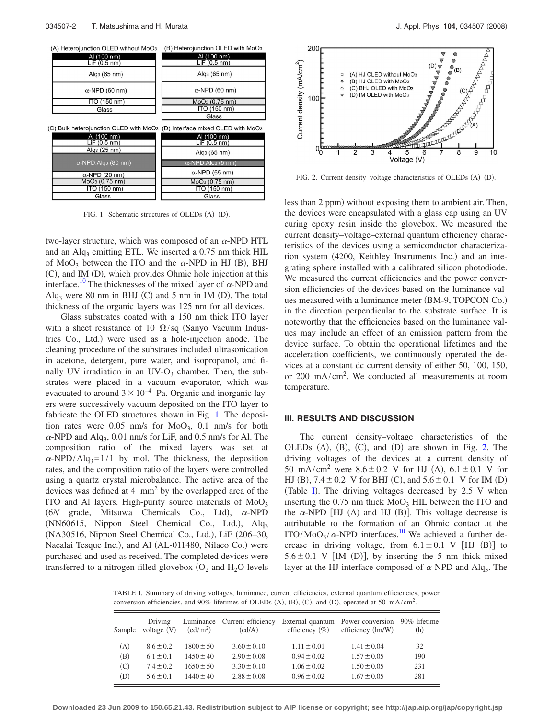<span id="page-2-0"></span>

FIG. 1. Schematic structures of OLEDs (A)-(D).

two-layer structure, which was composed of an  $\alpha$ -NPD HTL and an  $\text{Alq}_3$  emitting ETL. We inserted a 0.75 nm thick HIL of  $MoO<sub>3</sub>$  between the ITO and the  $\alpha$ -NPD in HJ (B), BHJ (C), and IM (D), which provides Ohmic hole injection at this interface.<sup>10</sup> The thicknesses of the mixed layer of  $\alpha$ -NPD and  $Alg<sub>3</sub>$  were 80 nm in BHJ (C) and 5 nm in IM (D). The total thickness of the organic layers was 125 nm for all devices.

Glass substrates coated with a 150 nm thick ITO layer with a sheet resistance of 10  $\Omega$ /sq (Sanyo Vacuum Industries Co., Ltd.) were used as a hole-injection anode. The cleaning procedure of the substrates included ultrasonication in acetone, detergent, pure water, and isopropanol, and finally UV irradiation in an  $UV-O_3$  chamber. Then, the substrates were placed in a vacuum evaporator, which was evacuated to around  $3 \times 10^{-4}$  Pa. Organic and inorganic layers were successively vacuum deposited on the ITO layer to fabricate the OLED structures shown in Fig. [1.](#page-2-0) The deposition rates were  $0.05$  nm/s for  $MoO<sub>3</sub>$ ,  $0.1$  nm/s for both  $\alpha$ -NPD and Alq<sub>3</sub>, 0.01 nm/s for LiF, and 0.5 nm/s for Al. The composition ratio of the mixed layers was set at  $\alpha$ -NPD/Alq<sub>3</sub>=1/1 by mol. The thickness, the deposition rates, and the composition ratio of the layers were controlled using a quartz crystal microbalance. The active area of the devices was defined at 4 mm2 by the overlapped area of the ITO and Al layers. High-purity source materials of  $MoO<sub>3</sub>$  $(6N \quad \text{grade}, \quad \text{Mitsuwa} \quad \text{Chemicals} \quad \text{Co.,} \quad \text{Ltd}, \quad \alpha\text{-NPD}$ (NN60615, Nippon Steel Chemical Co., Ltd.), Alq<sub>3</sub> (NA30516, Nippon Steel Chemical Co., Ltd.), LiF (206-30, Nacalai Tesque Inc.), and Al (AL-011480, Nilaco Co.) were purchased and used as received. The completed devices were transferred to a nitrogen-filled glovebox  $(O_2$  and  $H_2O$  levels

<span id="page-2-1"></span>

FIG. 2. Current density-voltage characteristics of OLEDs (A)-(D).

less than 2 ppm) without exposing them to ambient air. Then, the devices were encapsulated with a glass cap using an UV curing epoxy resin inside the glovebox. We measured the current density–voltage–external quantum efficiency characteristics of the devices using a semiconductor characterization system (4200, Keithley Instruments Inc.) and an integrating sphere installed with a calibrated silicon photodiode. We measured the current efficiencies and the power conversion efficiencies of the devices based on the luminance values measured with a luminance meter (BM-9, TOPCON Co.) in the direction perpendicular to the substrate surface. It is noteworthy that the efficiencies based on the luminance values may include an effect of an emission pattern from the device surface. To obtain the operational lifetimes and the acceleration coefficients, we continuously operated the devices at a constant dc current density of either 50, 100, 150, or 200 mA/cm<sup>2</sup> . We conducted all measurements at room temperature.

#### **III. RESULTS AND DISCUSSION**

The current density–voltage characteristics of the OLEDs  $(A)$ ,  $(B)$ ,  $(C)$ , and  $(D)$  are shown in Fig. [2.](#page-2-1) The driving voltages of the devices at a current density of 50 mA/cm<sup>2</sup> were  $8.6 \pm 0.2$  V for HJ (A),  $6.1 \pm 0.1$  V for HJ (B),  $7.4 \pm 0.2$  V for BHJ (C), and  $5.6 \pm 0.1$  V for IM (D) (Table [I](#page-2-2)). The driving voltages decreased by 2.5 V when inserting the  $0.75$  nm thick  $MoO<sub>3</sub> HIL$  between the ITO and the  $\alpha$ -NPD [HJ (A) and HJ (B)]. This voltage decrease is attributable to the formation of an Ohmic contact at the ITO/MoO<sub>3</sub>/ $\alpha$ -NPD interfaces.<sup>10</sup> We achieved a further decrease in driving voltage, from  $6.1 \pm 0.1$  V [HJ (B)] to  $5.6 \pm 0.1$  V [IM (D)], by inserting the 5 nm thick mixed layer at the HJ interface composed of  $\alpha$ -NPD and Alq<sub>3</sub>. The

<span id="page-2-2"></span>TABLE I. Summary of driving voltages, luminance, current efficiencies, external quantum efficiencies, power conversion efficiencies, and 90% lifetimes of OLEDs  $(A)$ ,  $(B)$ ,  $(C)$ , and  $(D)$ , operated at 50 mA/cm<sup>2</sup>.

| Sample | Driving<br>voltage $(V)$ | (cd/m <sup>2</sup> ) | Luminance Current efficiency<br>(cd/A) | efficiency $(\% )$ | External quantum Power conversion 90% lifetime<br>efficiency (lm/W) | (h) |
|--------|--------------------------|----------------------|----------------------------------------|--------------------|---------------------------------------------------------------------|-----|
| (A)    | $8.6 \pm 0.2$            | $1800 \pm 50$        | $3.60 \pm 0.10$                        | $1.11 \pm 0.01$    | $1.41 \pm 0.04$                                                     | 32  |
| (B)    | $6.1 \pm 0.1$            | $1450 \pm 40$        | $2.90 \pm 0.08$                        | $0.94 \pm 0.02$    | $1.57 \pm 0.05$                                                     | 190 |
| (C)    | $7.4 \pm 0.2$            | $1650 + 50$          | $3.30 \pm 0.10$                        | $1.06 \pm 0.02$    | $1.50 \pm 0.05$                                                     | 231 |
| (D)    | $56 + 01$                | $1440 + 40$          | $2.88 \pm 0.08$                        | $0.96 \pm 0.02$    | $1.67 \pm 0.05$                                                     | 281 |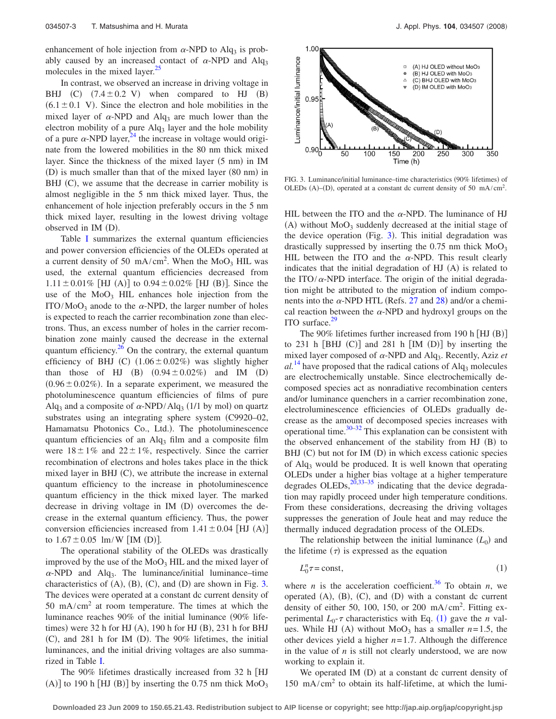enhancement of hole injection from  $\alpha$ -NPD to Alq<sub>3</sub> is probably caused by an increased contact of  $\alpha$ -NPD and Alq<sub>3</sub> molecules in the mixed layer.<sup>25</sup>

In contrast, we observed an increase in driving voltage in BHJ  $(C)$   $(7.4 \pm 0.2 \text{ V})$  when compared to HJ  $(B)$  $(6.1 \pm 0.1 \text{ V})$ . Since the electron and hole mobilities in the mixed layer of  $\alpha$ -NPD and Alq<sub>3</sub> are much lower than the electron mobility of a pure  $\text{Alg}_3$  layer and the hole mobility of a pure  $\alpha$ -NPD layer,<sup>24</sup> the increase in voltage would originate from the lowered mobilities in the 80 nm thick mixed layer. Since the thickness of the mixed layer (5 nm) in IM (D) is much smaller than that of the mixed layer (80 nm) in BHJ (C), we assume that the decrease in carrier mobility is almost negligible in the 5 nm thick mixed layer. Thus, the enhancement of hole injection preferably occurs in the 5 nm thick mixed layer, resulting in the lowest driving voltage observed in IM (D).

Table [I](#page-2-2) summarizes the external quantum efficiencies and power conversion efficiencies of the OLEDs operated at a current density of 50 mA/cm<sup>2</sup>. When the  $MoO<sub>3</sub> HIL$  was used, the external quantum efficiencies decreased from  $1.11 \pm 0.01\%$  [HJ (A)] to  $0.94 \pm 0.02\%$  [HJ (B)]. Since the use of the  $MoO<sub>3</sub> HIL$  enhances hole injection from the ITO/MoO<sub>3</sub> anode to the  $\alpha$ -NPD, the larger number of holes is expected to reach the carrier recombination zone than electrons. Thus, an excess number of holes in the carrier recombination zone mainly caused the decrease in the external quantum efficiency. $26$  On the contrary, the external quantum efficiency of BHJ (C)  $(1.06 \pm 0.02\%)$  was slightly higher than those of HJ  $(B)$   $(0.94 \pm 0.02\%)$  and IM  $(D)$  $(0.96 \pm 0.02\%)$ . In a separate experiment, we measured the photoluminescence quantum efficiencies of films of pure Alq<sub>3</sub> and a composite of  $\alpha$ -NPD/Alq<sub>3</sub> (1/1 by mol) on quartz substrates using an integrating sphere system (C9920–02, Hamamatsu Photonics Co., Ltd.). The photoluminescence quantum efficiencies of an  $\text{Alg}_3$  film and a composite film were  $18 \pm 1\%$  and  $22 \pm 1\%$ , respectively. Since the carrier recombination of electrons and holes takes place in the thick mixed layer in BHJ (C), we attribute the increase in external quantum efficiency to the increase in photoluminescence quantum efficiency in the thick mixed layer. The marked decrease in driving voltage in IM (D) overcomes the decrease in the external quantum efficiency. Thus, the power conversion efficiencies increased from  $1.41 \pm 0.04$  [HJ (A)] to  $1.67 \pm 0.05$  lm/W [IM (D)].

The operational stability of the OLEDs was drastically improved by the use of the  $MoO<sub>3</sub> HIL$  and the mixed layer of  $\alpha$ -NPD and Alq<sub>3</sub>. The luminance/initial luminance–time characteristics of  $(A)$ ,  $(B)$ ,  $(C)$ , and  $(D)$  are shown in Fig. [3.](#page-3-0) The devices were operated at a constant dc current density of  $50 \text{ mA/cm}^2$  at room temperature. The times at which the luminance reaches  $90\%$  of the initial luminance  $(90\%$  lifetimes) were 32 h for HJ (A), 190 h for HJ (B), 231 h for BHJ (C), and 281 h for IM (D). The 90% lifetimes, the initial luminances, and the initial driving voltages are also summarized in Table [I.](#page-2-2)

The 90% lifetimes drastically increased from 32 h [HJ (A)] to 190 h [HJ (B)] by inserting the 0.75 nm thick  $MoO<sub>3</sub>$ 

<span id="page-3-0"></span>

FIG. 3. Luminance/initial luminance-time characteristics (90% lifetimes) of OLEDs (A)–(D), operated at a constant dc current density of 50 mA/cm<sup>2</sup>.

HIL between the ITO and the  $\alpha$ -NPD. The luminance of HJ (A) without MoO<sub>3</sub> suddenly decreased at the initial stage of the device operation (Fig. [3](#page-3-0)). This initial degradation was drastically suppressed by inserting the  $0.75$  nm thick  $MoO<sub>3</sub>$ HIL between the ITO and the  $\alpha$ -NPD. This result clearly indicates that the initial degradation of HJ (A) is related to the ITO/ $\alpha$ -NPD interface. The origin of the initial degradation might be attributed to the migration of indium components into the  $\alpha$ -NPD HTL (Refs. [27](#page-4-20) and [28](#page-4-21)) and/or a chemical reaction between the  $\alpha$ -NPD and hydroxyl groups on the ITO surface. $29$ 

The 90% lifetimes further increased from 190 h  $[HJ(B)]$ to  $231$  h  $[BHJ (C)]$  and  $281$  h  $[IM (D)]$  by inserting the mixed layer composed of  $\alpha$ -NPD and Alq<sub>3</sub>. Recently, Aziz *et*  $al<sup>14</sup>$  $al<sup>14</sup>$  $al<sup>14</sup>$  have proposed that the radical cations of Alq<sub>3</sub> molecules are electrochemically unstable. Since electrochemically decomposed species act as nonradiative recombination centers and/or luminance quenchers in a carrier recombination zone, electroluminescence efficiencies of OLEDs gradually decrease as the amount of decomposed species increases with operational time. $30-32$  $30-32$  This explanation can be consistent with the observed enhancement of the stability from HJ (B) to BHJ (C) but not for IM (D) in which excess cationic species of Alq3 would be produced. It is well known that operating OLEDs under a higher bias voltage at a higher temperature degrades OLEDs, $^{20,33-35}$  $^{20,33-35}$  $^{20,33-35}$  indicating that the device degradation may rapidly proceed under high temperature conditions. From these considerations, decreasing the driving voltages suppresses the generation of Joule heat and may reduce the thermally induced degradation process of the OLEDs.

The relationship between the initial luminance  $(L_0)$  and the lifetime  $(\tau)$  is expressed as the equation

$$
L_0^n \tau = \text{const},\tag{1}
$$

<span id="page-3-1"></span>where *n* is the acceleration coefficient.<sup>36</sup> To obtain *n*, we operated  $(A)$ ,  $(B)$ ,  $(C)$ , and  $(D)$  with a constant dc current density of either 50, 100, 150, or 200 mA/cm<sup>2</sup>. Fitting experimental  $L_0$ - $\tau$  characteristics with Eq. ([1](#page-3-1)) gave the *n* values. While HJ (A) without  $MoO<sub>3</sub>$  has a smaller  $n=1.5$ , the other devices yield a higher *n*= 1.7. Although the difference in the value of *n* is still not clearly understood, we are now working to explain it.

We operated IM (D) at a constant dc current density of  $150 \text{ mA/cm}^2$  to obtain its half-lifetime, at which the lumi-